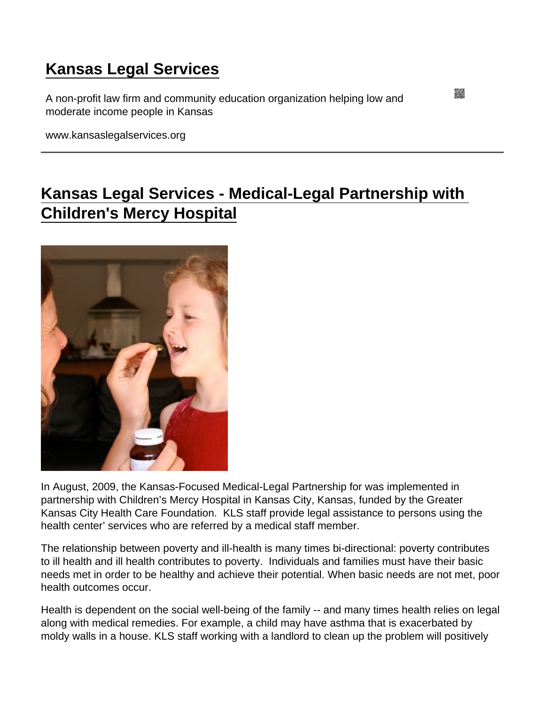## [Kansas Legal Services](https://www.kansaslegalservices.org/)

A non-profit law firm and community education organization helping low and moderate income people in Kansas

www.kansaslegalservices.org

## [Kansas Legal Services - Medical-Legal Partnership with](https://www.kansaslegalservices.org/node/1127/kansas-legal-services-medical-legal-partnership-childrens-mercy-hospital)  [Children's Mercy Hospital](https://www.kansaslegalservices.org/node/1127/kansas-legal-services-medical-legal-partnership-childrens-mercy-hospital)

In August, 2009, the Kansas-Focused Medical-Legal Partnership for was implemented in partnership with Children's Mercy Hospital in Kansas City, Kansas, funded by the Greater Kansas City Health Care Foundation. KLS staff provide legal assistance to persons using the health center' services who are referred by a medical staff member.

The relationship between poverty and ill-health is many times bi-directional: poverty contributes to ill health and ill health contributes to poverty. Individuals and families must have their basic needs met in order to be healthy and achieve their potential. When basic needs are not met, poor health outcomes occur.

Health is dependent on the social well-being of the family -- and many times health relies on legal along with medical remedies. For example, a child may have asthma that is exacerbated by moldy walls in a house. KLS staff working with a landlord to clean up the problem will positively